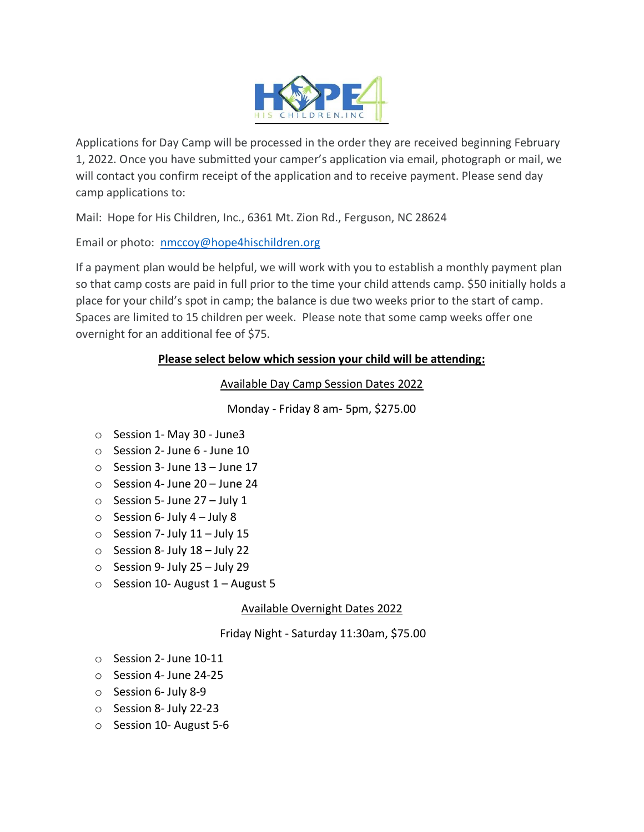

Applications for Day Camp will be processed in the order they are received beginning February 1, 2022. Once you have submitted your camper's application via email, photograph or mail, we will contact you confirm receipt of the application and to receive payment. Please send day camp applications to:

Mail: Hope for His Children, Inc., 6361 Mt. Zion Rd., Ferguson, NC 28624

Email or photo: [nmccoy@hope4hischildren.org](mailto:nmccoy@hope4hischildren.org)

If a payment plan would be helpful, we will work with you to establish a monthly payment plan so that camp costs are paid in full prior to the time your child attends camp. \$50 initially holds a place for your child's spot in camp; the balance is due two weeks prior to the start of camp. Spaces are limited to 15 children per week. Please note that some camp weeks offer one overnight for an additional fee of \$75.

# **Please select below which session your child will be attending:**

Available Day Camp Session Dates 2022

Monday - Friday 8 am- 5pm, \$275.00

- o Session 1- May 30 June3
- o Session 2- June 6 June 10
- o Session 3- June 13 June 17
- o Session 4- June 20 June 24
- $\circ$  Session 5- June 27 July 1
- $\circ$  Session 6- July 4 July 8
- $\circ$  Session 7- July 11 July 15
- $\circ$  Session 8- July 18 July 22
- $\circ$  Session 9- July 25 July 29
- $\circ$  Session 10- August 1 August 5

Available Overnight Dates 2022

Friday Night - Saturday 11:30am, \$75.00

- o Session 2- June 10-11
- o Session 4- June 24-25
- o Session 6- July 8-9
- o Session 8- July 22-23
- o Session 10- August 5-6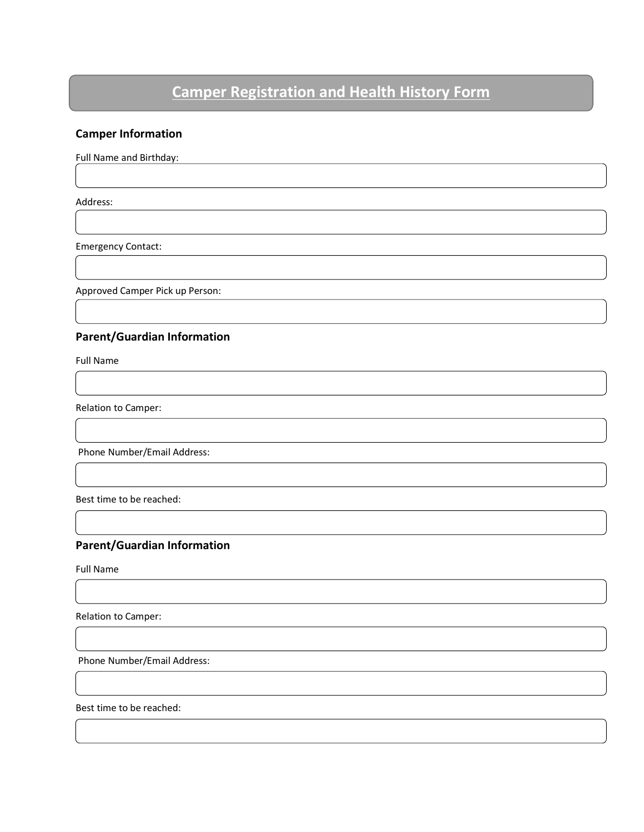# **Camper Registration and Health History Form**

## **Camper Information**

Full Name and Birthday:

Address:

Emergency Contact:

Approved Camper Pick up Person:

#### **Parent/Guardian Information**

Full Name

Relation to Camper:

Phone Number/Email Address:

Best time to be reached:

### **Parent/Guardian Information**

Full Name

Relation to Camper:

Phone Number/Email Address:

Best time to be reached: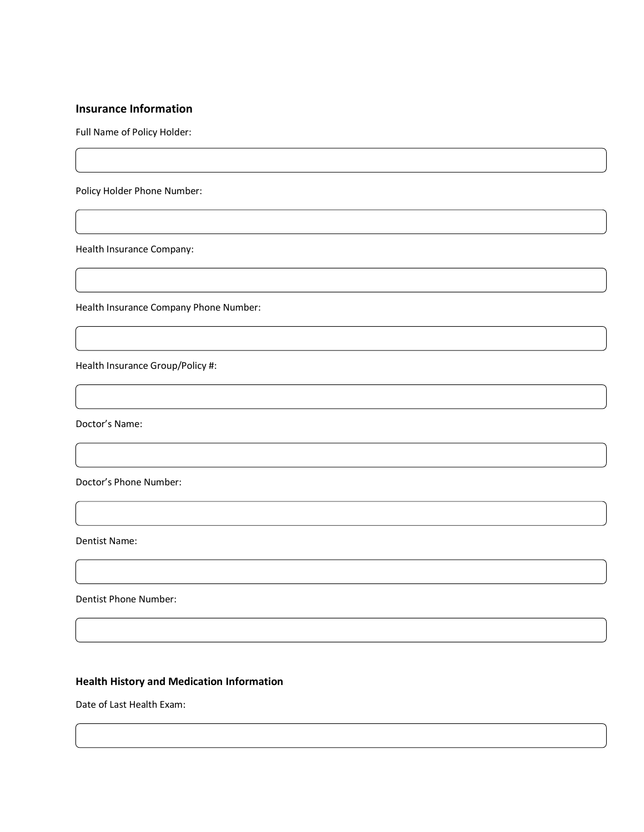#### **Insurance Information**

Full Name of Policy Holder:

Policy Holder Phone Number:

Health Insurance Company:

Health Insurance Company Phone Number:

Health Insurance Group/Policy #:

Doctor's Name:

Doctor's Phone Number:

Dentist Name:

Dentist Phone Number:

#### **Health History and Medication Information**

Date of Last Health Exam: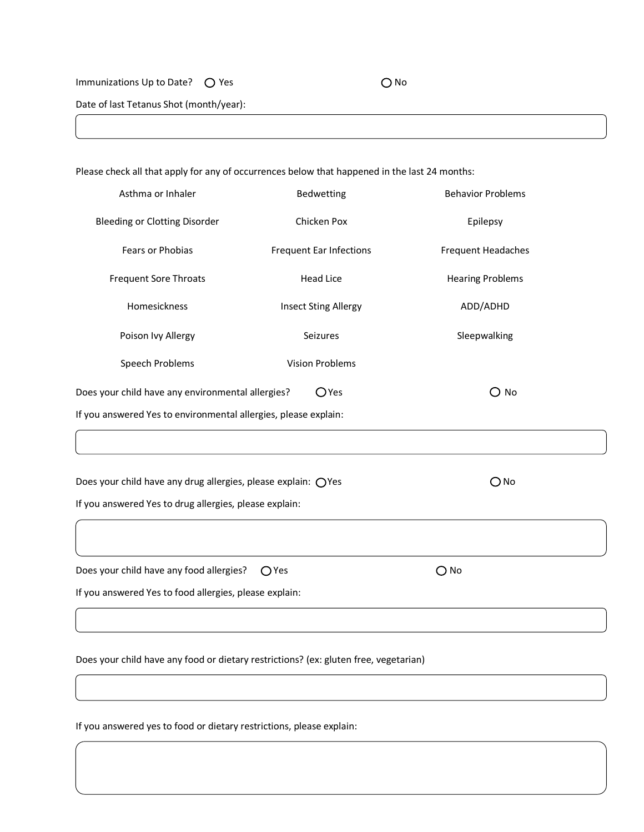Immunizations Up to Date?  $\bigcirc$  Yes  $\bigcirc$  No

Date of last Tetanus Shot (month/year):

Please check all that apply for any of occurrences below that happened in the last 24 months: Asthma or Inhaler **Bedwetting** Bedwetting Behavior Problems Bleeding or Clotting Disorder Chicken Pox Chicken Pox Epilepsy Fears or Phobias **Frequent Ear Infections** Frequent Headaches Frequent Sore Throats **Head Lice** Head Lice **Hearing Problems** Homesickness **Insect Sting Allergy** ADD/ADHD Poison Ivy Allergy **Seizures** Seizures Seizures Sleepwalking Speech Problems **Vision Problems** Does your child have any environmental allergies?  $O$  Yes  $O$  No If you answered Yes to environmental allergies, please explain: Does your child have any drug allergies, please explain:  $\bigcirc$  Yes  $\bigcirc$  No If you answered Yes to drug allergies, please explain: Does your child have any food allergies?  $\bigcirc$  Yes  $\bigcirc$  No If you answered Yes to food allergies, please explain:

Does your child have any food or dietary restrictions? (ex: gluten free, vegetarian)

If you answered yes to food or dietary restrictions, please explain: